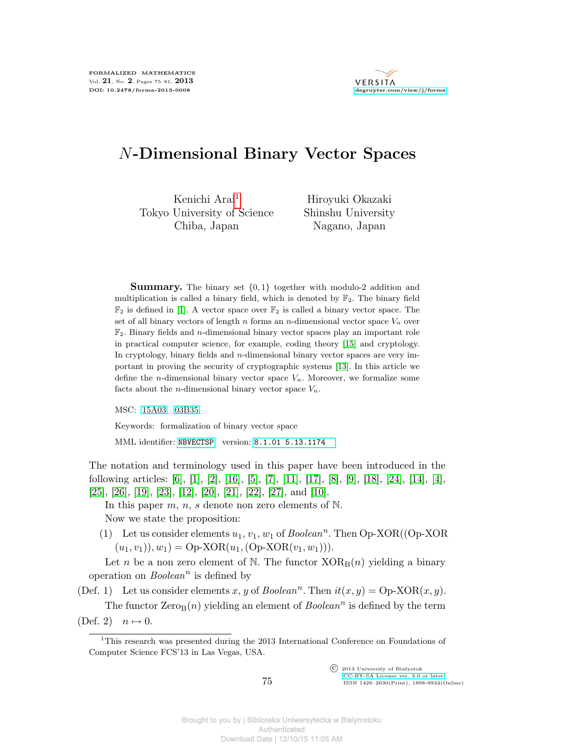

## *N***-Dimensional Binary Vector Spaces**

Kenichi Arai<sup>1</sup> Tokyo University of Science Chiba, Japan

Hiroyuki Okazaki Shinshu University Nagano, Japan

**Summary.** The binary set *{*0*,* 1*}* together with modulo-2 addition and multiplication is called a binary field, which is denoted by  $\mathbb{F}_2$ . The binary field  $\mathbb{F}_2$  is defined in [\[1\]](#page-5-0). A vector space over  $\mathbb{F}_2$  is called a binary vector space. The set of all binary vectors of length  $n$  forms an  $n$ -dimensional vector space  $V_n$  over  $\mathbb{F}_2$ . Binary fields and *n*-dimensional binary vector spaces play an important role in practical computer science, for example, coding theory [\[15\]](#page-6-0) and cryptology. In cryptology, binary fields and *n*-dimensional binary vector spaces are very important in proving the security of cryptographic systems [\[13\]](#page-6-1). In this article we define the *n*-dimensional binary vector space  $V_n$ . Moreover, we formalize some facts about the *n*-dimensional binary vector space  $V_n$ .

MSC: [15A03](http://zbmath.org/classification/?q=cc:15A03) [03B35](http://zbmath.org/classification/?q=cc:03B35)

Keywords: formalization of binary vector space

MML identifier: [NBVECTSP](http://fm.mizar.org/miz/nbvectsp.miz), version: [8.1.01 5.13.1174](http://ftp.mizar.org/)

The notation and terminology used in this paper have been introduced in the following articles: [\[6\]](#page-5-1), [\[1\]](#page-5-0), [\[2\]](#page-5-2), [\[16\]](#page-6-2), [\[5\]](#page-5-3), [\[7\]](#page-5-4), [\[11\]](#page-6-3), [\[17\]](#page-6-4), [\[8\]](#page-5-5), [\[9\]](#page-5-6), [\[18\]](#page-6-5), [\[24\]](#page-6-6), [\[14\]](#page-6-7), [\[4\]](#page-5-7), [\[25\]](#page-6-8), [\[26\]](#page-6-9), [\[19\]](#page-6-10), [\[23\]](#page-6-11), [\[12\]](#page-6-12), [\[20\]](#page-6-13), [\[21\]](#page-6-14), [\[22\]](#page-6-15), [\[27\]](#page-6-16), and [\[10\]](#page-6-17).

In this paper *m*, *n*, *s* denote non zero elements of N.

Now we state the proposition:

(1) Let us consider elements  $u_1, v_1, w_1$  of  $Boolean<sup>n</sup>$ . Then  $Op-XOR((Op-XOR))$  $(u_1, v_1), w_1$  = Op-XOR $(u_1, (Op-XOR(v_1, w_1))).$ 

Let *n* be a non zero element of N. The functor  $XOR_B(n)$  yielding a binary operation on *Boolean<sup>n</sup>* is defined by

(Def. 1) Let us consider elements *x*, *y* of *Boolean*<sup>*n*</sup>. Then  $it(x, y) = \text{Op-XOR}(x, y)$ .

The functor  $Zero_B(n)$  yielding an element of  $Boolean<sup>n</sup>$  is defined by the term  $(Def. 2)$   $n \mapsto 0.$ 

 $\overline{\text{C}}$  2013 University of Białystok [CC-BY-SA License ver. 3.0 or later](http://creativecommons.org/licenses/by-sa/3.0/) ISSN 1426–2630(Print), 1898-9934(Online)

<sup>&</sup>lt;sup>1</sup>This research was presented during the 2013 International Conference on Foundations of Computer Science FCS'13 in Las Vegas, USA.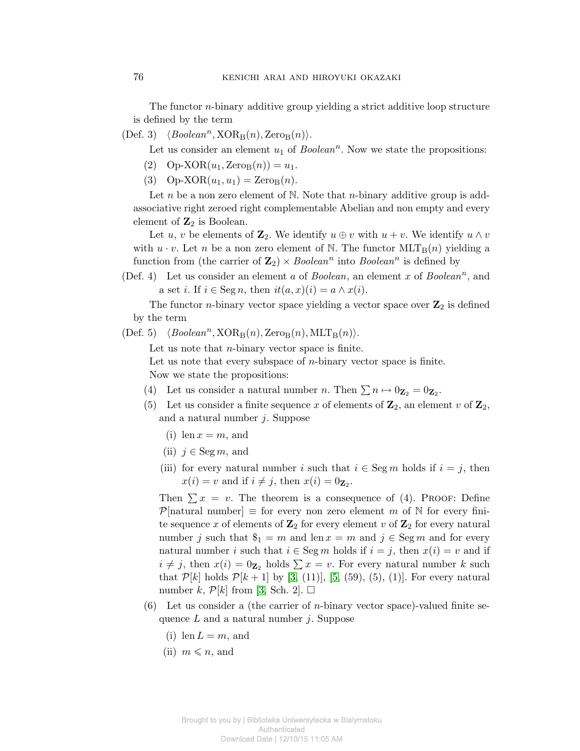The functor *n*-binary additive group yielding a strict additive loop structure is defined by the term

 $\langle Boolean^n, XOR_B(n), Zero_B(n) \rangle.$ 

Let us consider an element  $u_1$  of  $Boolean<sup>n</sup>$ . Now we state the propositions:

- $(p)$  Op-XOR $(u_1, \text{Zero}_B(n)) = u_1$ .
- (3) Op-XOR $(u_1, u_1) = \text{Zero}_B(n)$ .

Let *n* be a non zero element of N. Note that *n*-binary additive group is addassociative right zeroed right complementable Abelian and non empty and every element of **Z**<sup>2</sup> is Boolean.

Let *u*, *v* be elements of  $\mathbb{Z}_2$ . We identify  $u \oplus v$  with  $u + v$ . We identify  $u \wedge v$ with  $u \cdot v$ . Let *n* be a non zero element of N. The functor  $MLT_B(n)$  yielding a function from (the carrier of  $\mathbb{Z}_2$ )  $\times$  *Boolean*<sup>*n*</sup> into *Boolean*<sup>*n*</sup> is defined by

(Def. 4) Let us consider an element *a* of *Boolean*, an element *x* of *Boolean<sup>n</sup>* , and a set *i*. If  $i \in \text{Seg } n$ , then  $it(a, x)(i) = a \wedge x(i)$ .

The functor *n*-binary vector space yielding a vector space over  $\mathbb{Z}_2$  is defined by the term

 $\langle \text{Def. 5} \rangle$   $\langle \text{Boolean}^n, \text{XOR}_{\text{B}}(n), \text{Zero}_{\text{B}}(n), \text{MLT}_{\text{B}}(n) \rangle.$ 

Let us note that *n*-binary vector space is finite.

Let us note that every subspace of *n*-binary vector space is finite. Now we state the propositions:

- (4) Let us consider a natural number *n*. Then  $\sum n \mapsto 0_{\mathbf{Z}_2} = 0_{\mathbf{Z}_2}$ .
- (5) Let us consider a finite sequence x of elements of  $\mathbb{Z}_2$ , an element v of  $\mathbb{Z}_2$ , and a natural number *j*. Suppose
	- $(i)$  len  $x = m$ , and
	- (ii)  $j \in \text{Seg } m$ , and
	- (iii) for every natural number *i* such that  $i \in \text{Seg } m$  holds if  $i = j$ , then  $x(i) = v$  and if  $i \neq j$ , then  $x(i) = 0_{\mathbf{Z}_2}$ .

Then  $\sum x = v$ . The theorem is a consequence of (4). PROOF: Define *P*[natural number]  $\equiv$  for every non zero element *m* of N for every finite sequence x of elements of  $\mathbb{Z}_2$  for every element v of  $\mathbb{Z}_2$  for every natural number *j* such that  $\$_1 = m$  and len  $x = m$  and  $j \in \text{Seg } m$  and for every natural number *i* such that  $i \in \text{Seg } m$  holds if  $i = j$ , then  $x(i) = v$  and if  $i \neq j$ , then  $x(i) = 0$ <sub>Z<sub>2</sub></sub> holds  $\sum x = v$ . For every natural number *k* such that  $P[k]$  holds  $P[k+1]$  by [\[3,](#page-5-8) (11)], [\[5,](#page-5-3) (59), (5), (1)]. For every natural number *k*,  $\mathcal{P}[k]$  from [\[3,](#page-5-8) Sch. 2].  $\Box$ 

- (6) Let us consider a (the carrier of *n*-binary vector space)-valued finite sequence *L* and a natural number *j*. Suppose
	- $(i)$  len  $L = m$ , and
	- $(ii)$   $m \leqslant n$ , and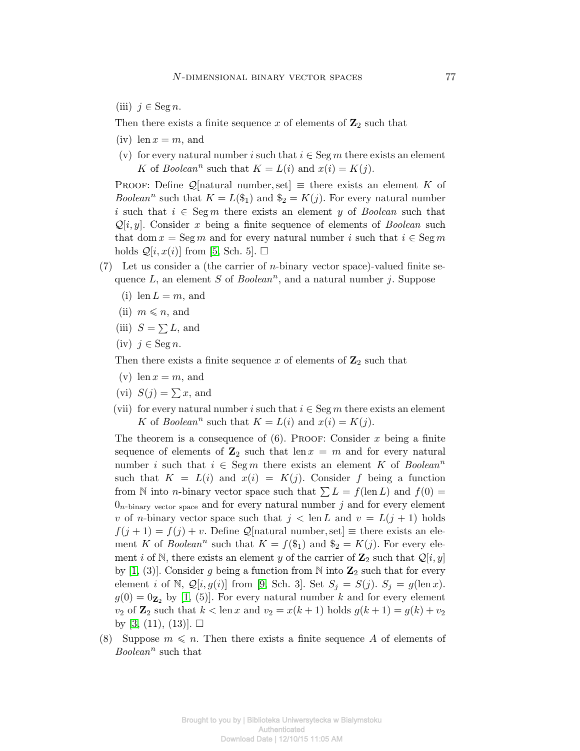(iii)  $j ∈ \text{Seg } n$ .

Then there exists a finite sequence  $x$  of elements of  $\mathbb{Z}_2$  such that

- $(iv)$  len  $x = m$ , and
- (v) for every natural number *i* such that  $i \in \text{Seg } m$  there exists an element *K* of *Boolean*<sup>*n*</sup> such that  $K = L(i)$  and  $x(i) = K(j)$ .

PROOF: Define  $\mathcal{Q}$ [natural number, set]  $\equiv$  there exists an element *K* of *Boolean*<sup>*n*</sup> such that  $K = L(\$_{1})$  and  $\$_{2} = K(j)$ . For every natural number *i* such that  $i \in \text{Seg } m$  there exists an element *y* of *Boolean* such that  $Q[i, y]$ . Consider *x* being a finite sequence of elements of *Boolean* such that dom  $x = \text{Seg } m$  and for every natural number *i* such that  $i \in \text{Seg } m$ holds  $\mathcal{Q}[i, x(i)]$  from [\[5,](#page-5-3) Sch. 5].  $\square$ 

- (7) Let us consider a (the carrier of *n*-binary vector space)-valued finite sequence *L*, an element *S* of *Boolean<sup>n</sup>* , and a natural number *j*. Suppose
	- (i) len  $L = m$ , and
	- $(ii)$   $m \leqslant n$ , and
	- (iii)  $S = \sum L$ , and
	- (iv)  $j ∈ \text{Seg } n$ .

Then there exists a finite sequence  $x$  of elements of  $\mathbb{Z}_2$  such that

- $(v)$  len  $x = m$ , and
- (vi)  $S(j) = \sum x$ , and
- (vii) for every natural number *i* such that  $i \in \text{Seg } m$  there exists an element *K* of *Boolean*<sup>*n*</sup> such that  $K = L(i)$  and  $x(i) = K(j)$ .

The theorem is a consequence of  $(6)$ . Proof: Consider *x* being a finite sequence of elements of  $\mathbb{Z}_2$  such that len  $x = m$  and for every natural number *i* such that  $i \in \text{Seg } m$  there exists an element *K* of *Boolean*<sup>*n*</sup> such that  $K = L(i)$  and  $x(i) = K(j)$ . Consider f being a function from N into *n*-binary vector space such that  $\sum L = f(\text{len } L)$  and  $f(0) =$  $0<sub>n</sub>$ -binary vector space and for every natural number  $j$  and for every element *v* of *n*-binary vector space such that  $j < \text{len } L$  and  $v = L(j + 1)$  holds  $f(j + 1) = f(j) + v$ . Define *Q*[natural number, set]  $\equiv$  there exists an element *K* of *Boolean*<sup>*n*</sup> such that  $K = f(\mathcal{S}_1)$  and  $\mathcal{S}_2 = K(j)$ . For every element *i* of N, there exists an element *y* of the carrier of  $\mathbb{Z}_2$  such that  $\mathcal{Q}[i, y]$ by  $[1, (3)]$  $[1, (3)]$ . Consider g being a function from N into  $\mathbb{Z}_2$  such that for every element *i* of N,  $\mathcal{Q}[i, g(i)]$  from [\[9,](#page-5-6) Sch. 3]. Set  $S_j = S(j)$ .  $S_j = g(\text{len } x)$ .  $g(0) = 0_{\mathbf{Z}_2}$  by [\[1,](#page-5-0) (5)]. For every natural number *k* and for every element *v*<sub>2</sub> of **Z**<sub>2</sub> such that  $k < \text{len } x$  and  $v_2 = x(k + 1)$  holds  $g(k + 1) = g(k) + v_2$ by [\[3,](#page-5-8) (11), (13)].  $\square$ 

(8) Suppose  $m \leq n$ . Then there exists a finite sequence *A* of elements of *Boolean<sup>n</sup>* such that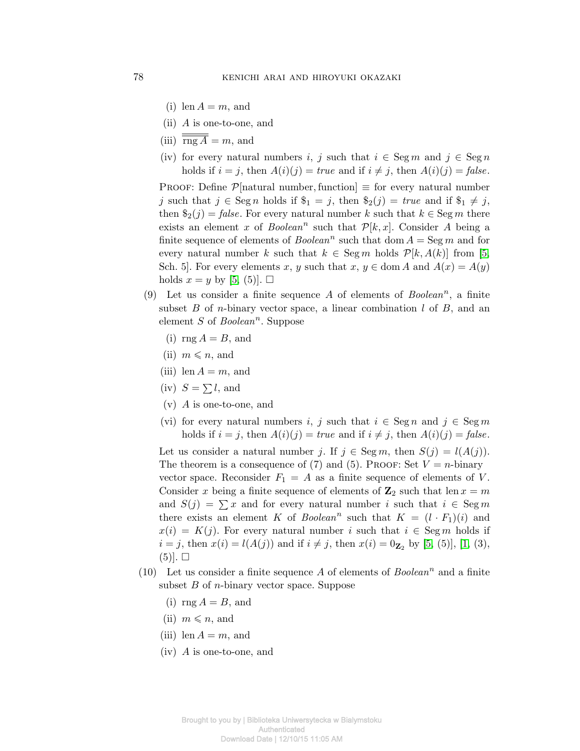- (i) len  $A = m$ , and
- (ii) *A* is one-to-one, and
- (iii)  $\overline{\text{rng }A} = m$ , and
- (iv) for every natural numbers *i*, *j* such that  $i \in \text{Seg } m$  and  $j \in \text{Seg } n$ holds if  $i = j$ , then  $A(i)(j) = true$  and if  $i \neq j$ , then  $A(i)(j) = false$ .

PROOF: Define  $\mathcal{P}$ [natural number, function]  $\equiv$  for every natural number *j* such that *j* ∈ Seg *n* holds if  $\$_{1}$  = *j*, then  $\$_{2}(j)$  = *true* and if  $\$_{1}$  ≠ *j*, then  $\hat{\mathfrak{s}}_2(j) = \text{false}$ . For every natural number *k* such that  $k \in \text{Seg } m$  there exists an element *x* of *Boolean*<sup>*n*</sup> such that  $P[k, x]$ . Consider *A* being a finite sequence of elements of  $Boolean<sup>n</sup>$  such that dom  $A = \text{Seg } m$  and for every natural number *k* such that  $k \in \text{Seg } m$  holds  $\mathcal{P}[k, A(k)]$  from [\[5,](#page-5-3) Sch. 5]. For every elements *x*, *y* such that  $x, y \in \text{dom } A$  and  $A(x) = A(y)$ holds  $x = y$  by [\[5,](#page-5-3) (5)].  $\Box$ 

- (9) Let us consider a finite sequence *A* of elements of *Boolean<sup>n</sup>* , a finite subset *B* of *n*-binary vector space, a linear combination *l* of *B*, and an element *S* of *Boolean<sup>n</sup>* . Suppose
	- (i)  $\text{rng } A = B$ , and
	- $(ii)$   $m \leqslant n$ , and
	- (iii) len  $A = m$ , and
	- $(iv)$   $S = \sum l$ , and
	- (v) *A* is one-to-one, and
	- (vi) for every natural numbers *i*, *j* such that  $i \in \text{Seg } n$  and  $j \in \text{Seg } m$ holds if  $i = j$ , then  $A(i)(j) = true$  and if  $i \neq j$ , then  $A(i)(j) = false$ .

Let us consider a natural number *j*. If  $j \in \text{Seg } m$ , then  $S(j) = l(A(j))$ . The theorem is a consequence of (7) and (5). PROOF: Set  $V = n$ -binary vector space. Reconsider  $F_1 = A$  as a finite sequence of elements of *V*. Consider *x* being a finite sequence of elements of  $\mathbb{Z}_2$  such that len  $x = m$ and  $S(j) = \sum x$  and for every natural number *i* such that  $i \in \text{Seg } m$ there exists an element *K* of *Boolean*<sup>*n*</sup> such that  $K = (l \cdot F_1)(i)$  and  $x(i) = K(j)$ . For every natural number *i* such that  $i \in \text{Seg } m$  holds if *i* = *j*, then  $x(i) = l(A(j))$  and if  $i \neq j$ , then  $x(i) = 0_{\mathbb{Z}_2}$  by [\[5,](#page-5-3) (5)], [\[1,](#page-5-0) (3),  $(5)$ .  $\square$ 

- (10) Let us consider a finite sequence  $A$  of elements of  $Boolean<sup>n</sup>$  and a finite subset *B* of *n*-binary vector space. Suppose
	- $(i)$  rng  $A = B$ , and
	- $(ii)$   $m \leqslant n$ , and
	- (iii) len  $A = m$ , and
	- (iv) *A* is one-to-one, and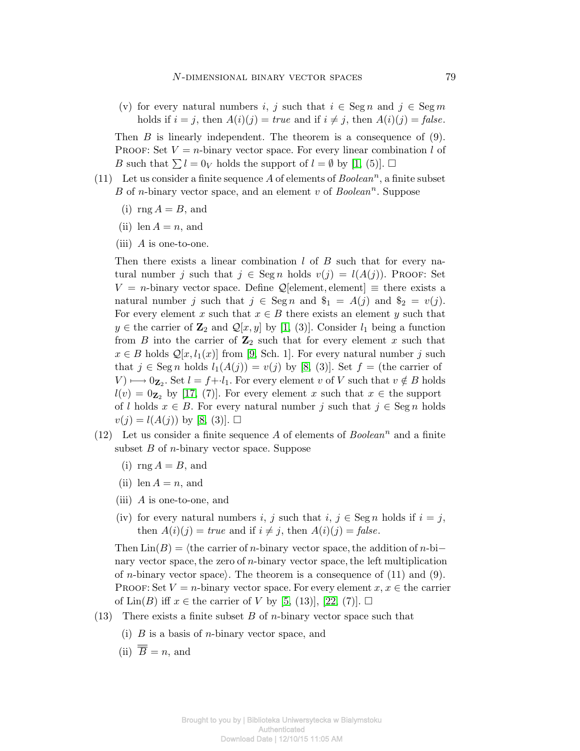(v) for every natural numbers *i*, *j* such that  $i \in \text{Seg } n$  and  $j \in \text{Seg } m$ holds if  $i = j$ , then  $A(i)(j) = true$  and if  $i \neq j$ , then  $A(i)(j) = false$ .

Then *B* is linearly independent. The theorem is a consequence of (9). PROOF: Set  $V = n$ -binary vector space. For every linear combination *l* of *B* such that  $\sum l = 0_V$  holds the support of  $l = \emptyset$  by [\[1,](#page-5-0) (5)].  $\Box$ 

- (11) Let us consider a finite sequence  $A$  of elements of  $Boolean<sup>n</sup>$ , a finite subset *B* of *n*-binary vector space, and an element *v* of *Boolean<sup>n</sup>* . Suppose
	- $(i)$  rng  $A = B$ , and
	- $(ii)$  len  $A = n$ , and
	- (iii) *A* is one-to-one.

Then there exists a linear combination *l* of *B* such that for every natural number *j* such that  $j \in \text{Seg } n$  holds  $v(j) = l(A(j))$ . Proof: Set  $V = n$ -binary vector space. Define  $\mathcal{Q}[\text{element}, \text{element}] \equiv \text{there exists a}$ natural number *j* such that  $j \in \text{Seg } n$  and  $\$_{1} = A(j)$  and  $\$_{2} = v(j)$ . For every element *x* such that  $x \in B$  there exists an element *y* such that *y* ∈ the carrier of  $\mathbf{Z}_2$  and  $\mathcal{Q}[x, y]$  by [\[1,](#page-5-0) (3)]. Consider  $l_1$  being a function from *B* into the carrier of  $\mathbb{Z}_2$  such that for every element *x* such that *x* ∈ *B* holds  $Q[x, l_1(x)]$  from [\[9,](#page-5-6) Sch. 1]. For every natural number *j* such that  $j \in \text{Seg } n$  holds  $l_1(A(j)) = v(j)$  by [\[8,](#page-5-5) (3)]. Set  $f =$  (the carrier of *V*)  $\rightarrow$  0 $\mathbf{z}_2$ . Set *l* = *f*+*·l*<sub>1</sub>. For every element *v* of *V* such that *v* ∉ *B* holds  $l(v) = 0$ **z**<sub>2</sub> by [\[17,](#page-6-4) (7)]. For every element *x* such that  $x \in$  the support of *l* holds  $x \in B$ . For every natural number *j* such that  $j \in \text{Seg } n$  holds  $v(j) = l(A(j))$  by [\[8,](#page-5-5) (3)].  $\square$ 

- (12) Let us consider a finite sequence  $A$  of elements of  $Boolean<sup>n</sup>$  and a finite subset *B* of *n*-binary vector space. Suppose
	- $(i)$  rng  $A = B$ , and
	- $(ii)$  len  $A = n$ , and
	- (iii) *A* is one-to-one, and
	- (iv) for every natural numbers *i*, *j* such that  $i, j \in \text{Seg } n$  holds if  $i = j$ , then  $A(i)(j) = true$  and if  $i \neq j$ , then  $A(i)(j) = false$ .

Then  $\text{Lin}(B) = \langle \text{the carrier of } n\text{-binary vector space, the addition of } n\text{-bi$ nary vector space*,*the zero of *n*-binary vector space*,*the left multiplication of *n*-binary vector space). The theorem is a consequence of  $(11)$  and  $(9)$ . PROOF: Set  $V = n$ -binary vector space. For every element  $x, x \in \mathbb{R}$  carrier of  $\text{Lin}(B)$  iff  $x \in \text{the carrier of } V$  by [\[5,](#page-5-3) (13)], [\[22,](#page-6-15) (7)].  $\square$ 

- (13) There exists a finite subset *B* of *n*-binary vector space such that
	- (i) *B* is a basis of *n*-binary vector space, and
	- (ii)  $\overline{\overline{B}} = n$ , and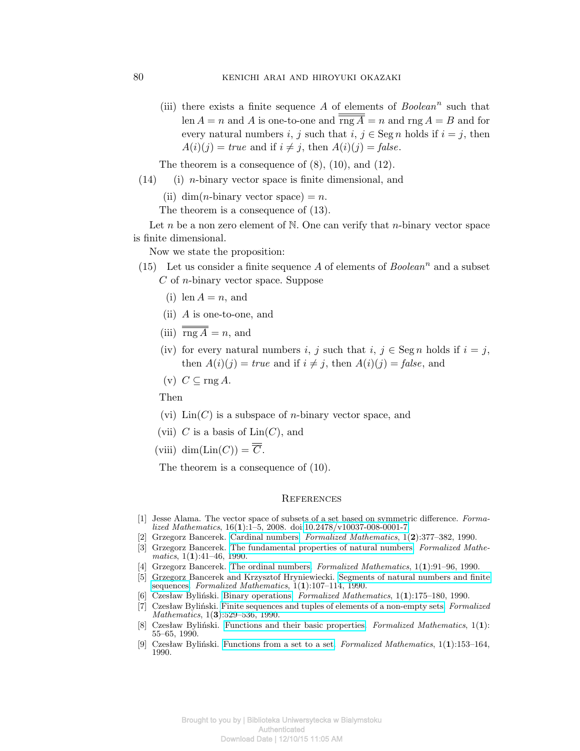(iii) there exists a finite sequence  $A$  of elements of  $Boolean<sup>n</sup>$  such that len  $A = n$  and *A* is one-to-one and  $\overline{\text{rng }A} = n$  and  $\text{rng }A = B$  and for every natural numbers *i*, *j* such that  $i, j \in \text{Seg } n$  holds if  $i = j$ , then  $A(i)(j) = true$  and if  $i \neq j$ , then  $A(i)(j) = false$ .

The theorem is a consequence of  $(8)$ ,  $(10)$ , and  $(12)$ .

- (14) (i) *n*-binary vector space is finite dimensional, and
	- (ii) dim(*n*-binary vector space) = *n*.

The theorem is a consequence of (13).

Let *n* be a non zero element of N. One can verify that *n*-binary vector space is finite dimensional.

Now we state the proposition:

- (15) Let us consider a finite sequence  $A$  of elements of  $Boolean<sup>n</sup>$  and a subset *C* of *n*-binary vector space. Suppose
	- $(i)$  len  $A = n$ , and
	- (ii) *A* is one-to-one, and
	- (iii)  $\overline{\text{rng }A} = n$ , and
	- (iv) for every natural numbers *i*, *j* such that  $i, j \in \text{Seg } n$  holds if  $i = j$ , then  $A(i)(j) = true$  and if  $i \neq j$ , then  $A(i)(j) = false$ , and
	- (v)  $C \subseteq \text{rng } A$ .

Then

- (vi) Lin(*C*) is a subspace of *n*-binary vector space, and
- (vii)  $C$  is a basis of  $Lin(C)$ , and
- (viii) dim( $\text{Lin}(C)$ ) =  $\overline{\overline{C}}$ .

The theorem is a consequence of (10).

## **REFERENCES**

- <span id="page-5-0"></span>[1] Jesse Alama. The vector space of subsets of a set based on symmetric difference. *Formalized Mathematics*, 16(**1**):1–5, 2008. doi[:10.2478/v10037-008-0001-7.](http://dx.doi.org/10.2478/v10037-008-0001-7)
- <span id="page-5-2"></span>[2] Grzegorz Bancerek. [Cardinal numbers.](http://fm.mizar.org/1990-1/pdf1-2/card_1.pdf) *Formalized Mathematics*, 1(**2**):377–382, 1990.
- <span id="page-5-8"></span>[3] Grzegorz Bancerek. [The fundamental properties of natural numbers.](http://fm.mizar.org/1990-1/pdf1-1/nat_1.pdf) *Formalized Mathematics*, 1(**1**):41–46, 1990.
- <span id="page-5-7"></span>[4] Grzegorz Bancerek. [The ordinal numbers.](http://fm.mizar.org/1990-1/pdf1-1/ordinal1.pdf) *Formalized Mathematics*, 1(**1**):91–96, 1990.
- <span id="page-5-3"></span>[5] Grzegorz Bancerek and Krzysztof Hryniewiecki. [Segments of natural numbers and finite](http://fm.mizar.org/1990-1/pdf1-1/finseq_1.pdf) [sequences.](http://fm.mizar.org/1990-1/pdf1-1/finseq_1.pdf) *Formalized Mathematics*, 1(**1**):107–114, 1990.
- <span id="page-5-1"></span>[6] Czesław Byliński. [Binary operations.](http://fm.mizar.org/1990-1/pdf1-1/binop_1.pdf) *Formalized Mathematics*, 1(**1**):175–180, 1990.
- <span id="page-5-4"></span>[7] Czesław Byliński. [Finite sequences and tuples of elements of a non-empty sets.](http://fm.mizar.org/1990-1/pdf1-3/finseq_2.pdf) *Formalized Mathematics*, 1(**3**):529–536, 1990.
- <span id="page-5-5"></span>[8] Czesław Byliński. [Functions and their basic properties.](http://fm.mizar.org/1990-1/pdf1-1/funct_1.pdf) *Formalized Mathematics*, 1(**1**): 55–65, 1990.
- <span id="page-5-6"></span>[9] Czesław Byliński. [Functions from a set to a set.](http://fm.mizar.org/1990-1/pdf1-1/funct_2.pdf) *Formalized Mathematics*, 1(**1**):153–164, 1990.